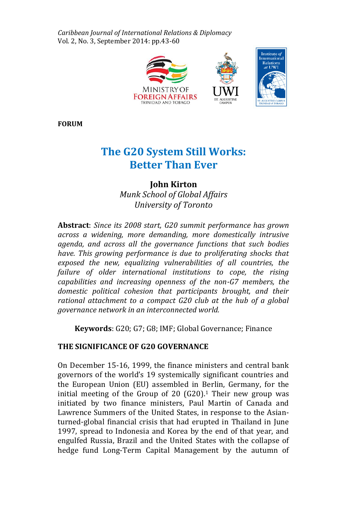*Caribbean Journal of International Relations & Diplomacy*  Vol. 2, No. 3, September 2014: pp.43-60



**FORUM**

# **The G20 System Still Works: Better Than Ever**

# **John Kirton** *Munk School of Global Affairs University of Toronto*

**Abstract**: *Since its 2008 start, G20 summit performance has grown across a widening, more demanding, more domestically intrusive agenda, and across all the governance functions that such bodies have. This growing performance is due to proliferating shocks that exposed the new, equalizing vulnerabilities of all countries, the failure of older international institutions to cope, the rising capabilities and increasing openness of the non-G7 members, the domestic political cohesion that participants brought, and their rational attachment to a compact G20 club at the hub of a global governance network in an interconnected world.*

**Keywords**: G20; G7; G8; IMF; Global Governance; Finance

# **THE SIGNIFICANCE OF G20 GOVERNANCE**

On December 15-16, 1999, the finance ministers and central bank governors of the world's 19 systemically significant countries and the European Union (EU) assembled in Berlin, Germany, for the initial meeting of the Group of 20  $(G20)$ .<sup>1</sup> Their new group was initiated by two finance ministers, Paul Martin of Canada and Lawrence Summers of the United States, in response to the Asianturned-global financial crisis that had erupted in Thailand in June 1997, spread to Indonesia and Korea by the end of that year, and engulfed Russia, Brazil and the United States with the collapse of hedge fund Long-Term Capital Management by the autumn of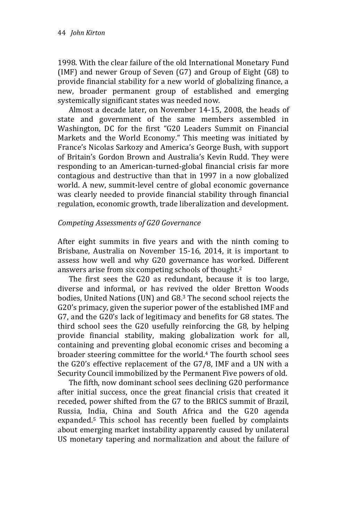1998. With the clear failure of the old International Monetary Fund (IMF) and newer Group of Seven (G7) and Group of Eight (G8) to provide financial stability for a new world of globalizing finance, a new, broader permanent group of established and emerging systemically significant states was needed now.

Almost a decade later, on November 14-15, 2008, the heads of state and government of the same members assembled in Washington, DC for the first "G20 Leaders Summit on Financial Markets and the World Economy." This meeting was initiated by France's Nicolas Sarkozy and America's George Bush, with support of Britain's Gordon Brown and Australia's Kevin Rudd. They were responding to an American-turned-global financial crisis far more contagious and destructive than that in 1997 in a now globalized world. A new, summit-level centre of global economic governance was clearly needed to provide financial stability through financial regulation, economic growth, trade liberalization and development.

#### *Competing Assessments of G20 Governance*

After eight summits in five years and with the ninth coming to Brisbane, Australia on November 15-16, 2014, it is important to assess how well and why G20 governance has worked. Different answers arise from six competing schools of thought. 2

The first sees the G20 as redundant, because it is too large, diverse and informal, or has revived the older Bretton Woods bodies, United Nations (UN) and G8.<sup>3</sup> The second school rejects the G20's primacy, given the superior power of the established IMF and G7, and the G20's lack of legitimacy and benefits for G8 states. The third school sees the G20 usefully reinforcing the G8, by helping provide financial stability, making globalization work for all, containing and preventing global economic crises and becoming a broader steering committee for the world.<sup>4</sup> The fourth school sees the G20's effective replacement of the G7/8, IMF and a UN with a Security Council immobilized by the Permanent Five powers of old.

The fifth, now dominant school sees declining G20 performance after initial success, once the great financial crisis that created it receded, power shifted from the G7 to the BRICS summit of Brazil, Russia, India, China and South Africa and the G20 agenda expanded.<sup>5</sup> This school has recently been fuelled by complaints about emerging market instability apparently caused by unilateral US monetary tapering and normalization and about the failure of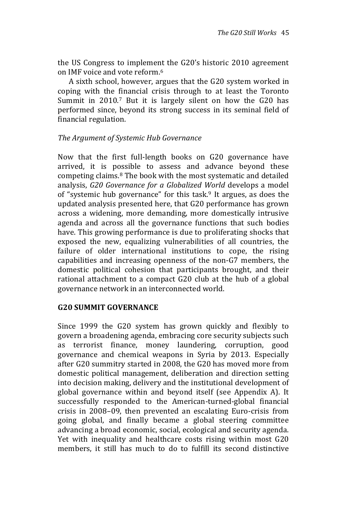the US Congress to implement the G20's historic 2010 agreement on IMF voice and vote reform. 6

A sixth school, however, argues that the G20 system worked in coping with the financial crisis through to at least the Toronto Summit in 2010.<sup>7</sup> But it is largely silent on how the G20 has performed since, beyond its strong success in its seminal field of financial regulation.

## *The Argument of Systemic Hub Governance*

Now that the first full-length books on G20 governance have arrived, it is possible to assess and advance beyond these competing claims.<sup>8</sup> The book with the most systematic and detailed analysis, *G20 Governance for a Globalized World* develops a model of "systemic hub governance" for this task.<sup>9</sup> It argues, as does the updated analysis presented here, that G20 performance has grown across a widening, more demanding, more domestically intrusive agenda and across all the governance functions that such bodies have. This growing performance is due to proliferating shocks that exposed the new, equalizing vulnerabilities of all countries, the failure of older international institutions to cope, the rising capabilities and increasing openness of the non-G7 members, the domestic political cohesion that participants brought, and their rational attachment to a compact G20 club at the hub of a global governance network in an interconnected world.

## **G20 SUMMIT GOVERNANCE**

Since 1999 the G20 system has grown quickly and flexibly to govern a broadening agenda, embracing core security subjects such as terrorist finance, money laundering, corruption, good governance and chemical weapons in Syria by 2013. Especially after G20 summitry started in 2008, the G20 has moved more from domestic political management, deliberation and direction setting into decision making, delivery and the institutional development of global governance within and beyond itself (see Appendix A). It successfully responded to the American-turned-global financial crisis in 2008–09, then prevented an escalating Euro-crisis from going global, and finally became a global steering committee advancing a broad economic, social, ecological and security agenda. Yet with inequality and healthcare costs rising within most G20 members, it still has much to do to fulfill its second distinctive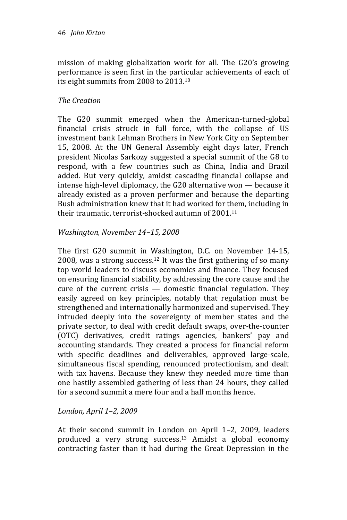mission of making globalization work for all. The G20's growing performance is seen first in the particular achievements of each of its eight summits from 2008 to 2013.<sup>10</sup>

## *The Creation*

The G20 summit emerged when the American-turned-global financial crisis struck in full force, with the collapse of US investment bank Lehman Brothers in New York City on September 15, 2008. At the UN General Assembly eight days later, French president Nicolas Sarkozy suggested a special summit of the G8 to respond, with a few countries such as China, India and Brazil added. But very quickly, amidst cascading financial collapse and intense high-level diplomacy, the G20 alternative won — because it already existed as a proven performer and because the departing Bush administration knew that it had worked for them, including in their traumatic, terrorist-shocked autumn of 2001.<sup>11</sup>

## *Washington, November 14–15, 2008*

The first G20 summit in Washington, D.C. on November 14-15, 2008, was a strong success. <sup>12</sup> It was the first gathering of so many top world leaders to discuss economics and finance. They focused on ensuring financial stability, by addressing the core cause and the cure of the current crisis  $-$  domestic financial regulation. They easily agreed on key principles, notably that regulation must be strengthened and internationally harmonized and supervised. They intruded deeply into the sovereignty of member states and the private sector, to deal with credit default swaps, over-the-counter (OTC) derivatives, credit ratings agencies, bankers' pay and accounting standards. They created a process for financial reform with specific deadlines and deliverables, approved large-scale, simultaneous fiscal spending, renounced protectionism, and dealt with tax havens. Because they knew they needed more time than one hastily assembled gathering of less than 24 hours, they called for a second summit a mere four and a half months hence.

## *London, April 1–2, 2009*

At their second summit in London on April 1–2, 2009, leaders produced a very strong success. <sup>13</sup> Amidst a global economy contracting faster than it had during the Great Depression in the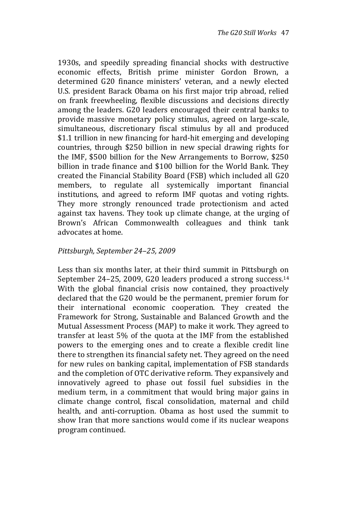1930s, and speedily spreading financial shocks with destructive economic effects, British prime minister Gordon Brown, a determined G20 finance ministers' veteran, and a newly elected U.S. president Barack Obama on his first major trip abroad, relied on frank freewheeling, flexible discussions and decisions directly among the leaders. G20 leaders encouraged their central banks to provide massive monetary policy stimulus, agreed on large-scale, simultaneous, discretionary fiscal stimulus by all and produced \$1.1 trillion in new financing for hard-hit emerging and developing countries, through \$250 billion in new special drawing rights for the IMF, \$500 billion for the New Arrangements to Borrow, \$250 billion in trade finance and \$100 billion for the World Bank. They created the Financial Stability Board (FSB) which included all G20 members, to regulate all systemically important financial institutions, and agreed to reform IMF quotas and voting rights. They more strongly renounced trade protectionism and acted against tax havens. They took up climate change, at the urging of Brown's African Commonwealth colleagues and think tank advocates at home.

#### *Pittsburgh, September 24–25, 2009*

Less than six months later, at their third summit in Pittsburgh on September 24–25, 2009, G20 leaders produced a strong success.<sup>14</sup> With the global financial crisis now contained, they proactively declared that the G20 would be the permanent, premier forum for their international economic cooperation. They created the Framework for Strong, Sustainable and Balanced Growth and the Mutual Assessment Process (MAP) to make it work. They agreed to transfer at least 5% of the quota at the IMF from the established powers to the emerging ones and to create a flexible credit line there to strengthen its financial safety net. They agreed on the need for new rules on banking capital, implementation of FSB standards and the completion of OTC derivative reform. They expansively and innovatively agreed to phase out fossil fuel subsidies in the medium term, in a commitment that would bring major gains in climate change control, fiscal consolidation, maternal and child health, and anti-corruption. Obama as host used the summit to show Iran that more sanctions would come if its nuclear weapons program continued.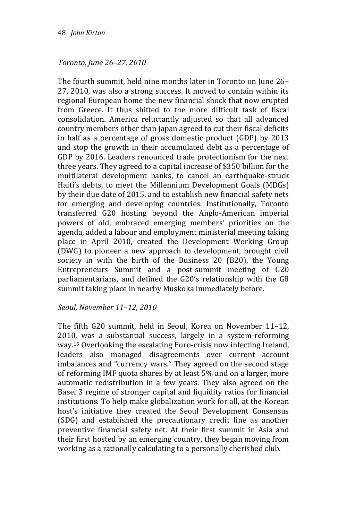## *Toronto, June 26–27, 2010*

The fourth summit, held nine months later in Toronto on June 26– 27, 2010, was also a strong success. It moved to contain within its regional European home the new financial shock that now erupted from Greece. It thus shifted to the more difficult task of fiscal consolidation. America reluctantly adjusted so that all advanced country members other than Japan agreed to cut their fiscal deficits in half as a percentage of gross domestic product (GDP) by 2013 and stop the growth in their accumulated debt as a percentage of GDP by 2016. Leaders renounced trade protectionism for the next three years. They agreed to a capital increase of \$350 billion for the multilateral development banks, to cancel an earthquake-struck Haiti's debts, to meet the Millennium Development Goals (MDGs) by their due date of 2015, and to establish new financial safety nets for emerging and developing countries. Institutionally, Toronto transferred G20 hosting beyond the Anglo-American imperial powers of old, embraced emerging members' priorities on the agenda, added a labour and employment ministerial meeting taking place in April 2010, created the Development Working Group (DWG) to pioneer a new approach to development, brought civil society in with the birth of the Business 20 (B20), the Young Entrepreneurs Summit and a post-summit meeting of G20 parliamentarians, and defined the G20's relationship with the G8 summit taking place in nearby Muskoka immediately before.

## *Seoul, November 11–12, 2010*

The fifth G20 summit, held in Seoul, Korea on November 11–12, 2010, was a substantial success, largely in a system-reforming way.<sup>15</sup> Overlooking the escalating Euro-crisis now infecting Ireland, leaders also managed disagreements over current account imbalances and "currency wars." They agreed on the second stage of reforming IMF quota shares by at least 5% and on a larger, more automatic redistribution in a few years. They also agreed on the Basel 3 regime of stronger capital and liquidity ratios for financial institutions. To help make globalization work for all, at the Korean host's initiative they created the Seoul Development Consensus (SDG) and established the precautionary credit line as another preventive financial safety net. At their first summit in Asia and their first hosted by an emerging country, they began moving from working as a rationally calculating to a personally cherished club.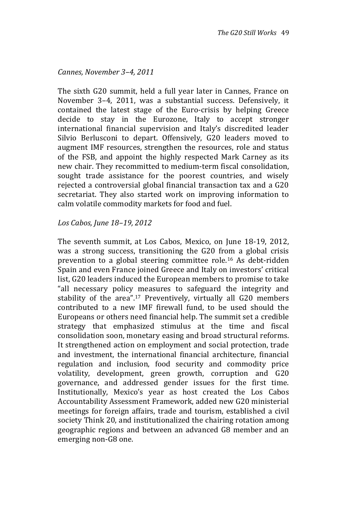## *Cannes, November 3–4, 2011*

The sixth G20 summit, held a full year later in Cannes, France on November 3–4, 2011, was a substantial success. Defensively, it contained the latest stage of the Euro-crisis by helping Greece decide to stay in the Eurozone, Italy to accept stronger international financial supervision and Italy's discredited leader Silvio Berlusconi to depart. Offensively, G20 leaders moved to augment IMF resources, strengthen the resources, role and status of the FSB, and appoint the highly respected Mark Carney as its new chair. They recommitted to medium-term fiscal consolidation, sought trade assistance for the poorest countries, and wisely rejected a controversial global financial transaction tax and a G20 secretariat. They also started work on improving information to calm volatile commodity markets for food and fuel.

#### *Los Cabos, June 18–19, 2012*

The seventh summit, at Los Cabos, Mexico, on June 18-19, 2012, was a strong success, transitioning the G20 from a global crisis prevention to a global steering committee role.<sup>16</sup> As debt-ridden Spain and even France joined Greece and Italy on investors' critical list, G20 leaders induced the European members to promise to take "all necessary policy measures to safeguard the integrity and stability of the area".<sup>17</sup> Preventively, virtually all G20 members contributed to a new IMF firewall fund, to be used should the Europeans or others need financial help. The summit set a credible strategy that emphasized stimulus at the time and fiscal consolidation soon, monetary easing and broad structural reforms. It strengthened action on employment and social protection, trade and investment, the international financial architecture, financial regulation and inclusion, food security and commodity price volatility, development, green growth, corruption and G20 governance, and addressed gender issues for the first time. Institutionally, Mexico's year as host created the Los Cabos Accountability Assessment Framework, added new G20 ministerial meetings for foreign affairs, trade and tourism, established a civil society Think 20, and institutionalized the chairing rotation among geographic regions and between an advanced G8 member and an emerging non-G8 one.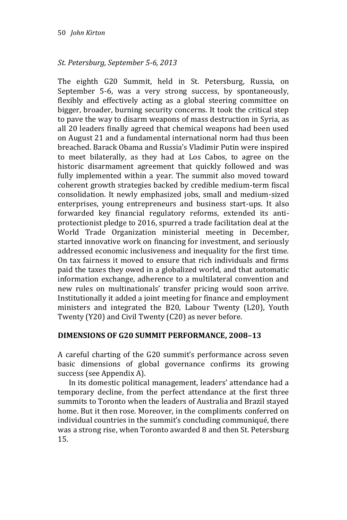## *St. Petersburg, September 5-6, 2013*

The eighth G20 Summit, held in St. Petersburg, Russia, on September 5-6, was a very strong success, by spontaneously, flexibly and effectively acting as a global steering committee on bigger, broader, burning security concerns. It took the critical step to pave the way to disarm weapons of mass destruction in Syria, as all 20 leaders finally agreed that chemical weapons had been used on August 21 and a fundamental international norm had thus been breached. Barack Obama and Russia's Vladimir Putin were inspired to meet bilaterally, as they had at Los Cabos, to agree on the historic disarmament agreement that quickly followed and was fully implemented within a year. The summit also moved toward coherent growth strategies backed by credible medium-term fiscal consolidation. It newly emphasized jobs, small and medium-sized enterprises, young entrepreneurs and business start-ups. It also forwarded key financial regulatory reforms, extended its antiprotectionist pledge to 2016, spurred a trade facilitation deal at the World Trade Organization ministerial meeting in December, started innovative work on financing for investment, and seriously addressed economic inclusiveness and inequality for the first time. On tax fairness it moved to ensure that rich individuals and firms paid the taxes they owed in a globalized world, and that automatic information exchange, adherence to a multilateral convention and new rules on multinationals' transfer pricing would soon arrive. Institutionally it added a joint meeting for finance and employment ministers and integrated the B20, Labour Twenty (L20), Youth Twenty (Y20) and Civil Twenty (C20) as never before.

## **DIMENSIONS OF G20 SUMMIT PERFORMANCE, 2008–13**

A careful charting of the G20 summit's performance across seven basic dimensions of global governance confirms its growing success (see Appendix A).

In its domestic political management, leaders' attendance had a temporary decline, from the perfect attendance at the first three summits to Toronto when the leaders of Australia and Brazil stayed home. But it then rose. Moreover, in the compliments conferred on individual countries in the summit's concluding communiqué, there was a strong rise, when Toronto awarded 8 and then St. Petersburg 15.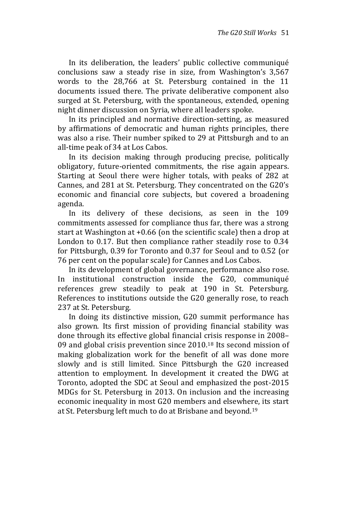In its deliberation, the leaders' public collective communiqué conclusions saw a steady rise in size, from Washington's 3,567 words to the 28,766 at St. Petersburg contained in the 11 documents issued there. The private deliberative component also surged at St. Petersburg, with the spontaneous, extended, opening night dinner discussion on Syria, where all leaders spoke.

In its principled and normative direction-setting, as measured by affirmations of democratic and human rights principles, there was also a rise. Their number spiked to 29 at Pittsburgh and to an all-time peak of 34 at Los Cabos.

In its decision making through producing precise, politically obligatory, future-oriented commitments, the rise again appears. Starting at Seoul there were higher totals, with peaks of 282 at Cannes, and 281 at St. Petersburg. They concentrated on the G20's economic and financial core subjects, but covered a broadening agenda.

In its delivery of these decisions, as seen in the 109 commitments assessed for compliance thus far, there was a strong start at Washington at +0.66 (on the scientific scale) then a drop at London to 0.17. But then compliance rather steadily rose to 0.34 for Pittsburgh, 0.39 for Toronto and 0.37 for Seoul and to 0.52 (or 76 per cent on the popular scale) for Cannes and Los Cabos.

In its development of global governance, performance also rose. In institutional construction inside the G20, communiqué references grew steadily to peak at 190 in St. Petersburg. References to institutions outside the G20 generally rose, to reach 237 at St. Petersburg.

In doing its distinctive mission, G20 summit performance has also grown. Its first mission of providing financial stability was done through its effective global financial crisis response in 2008– 09 and global crisis prevention since 2010.<sup>18</sup> Its second mission of making globalization work for the benefit of all was done more slowly and is still limited. Since Pittsburgh the G20 increased attention to employment. In development it created the DWG at Toronto, adopted the SDC at Seoul and emphasized the post-2015 MDGs for St. Petersburg in 2013. On inclusion and the increasing economic inequality in most G20 members and elsewhere, its start at St. Petersburg left much to do at Brisbane and beyond.19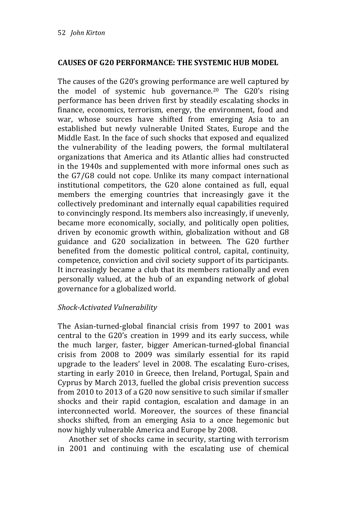## **CAUSES OF G20 PERFORMANCE: THE SYSTEMIC HUB MODEL**

The causes of the G20's growing performance are well captured by the model of systemic hub governance.<sup>20</sup> The G20's rising performance has been driven first by steadily escalating shocks in finance, economics, terrorism, energy, the environment, food and war, whose sources have shifted from emerging Asia to an established but newly vulnerable United States, Europe and the Middle East. In the face of such shocks that exposed and equalized the vulnerability of the leading powers, the formal multilateral organizations that America and its Atlantic allies had constructed in the 1940s and supplemented with more informal ones such as the G7/G8 could not cope. Unlike its many compact international institutional competitors, the G20 alone contained as full, equal members the emerging countries that increasingly gave it the collectively predominant and internally equal capabilities required to convincingly respond. Its members also increasingly, if unevenly, became more economically, socially, and politically open polities, driven by economic growth within, globalization without and G8 guidance and G20 socialization in between. The G20 further benefited from the domestic political control, capital, continuity, competence, conviction and civil society support of its participants. It increasingly became a club that its members rationally and even personally valued, at the hub of an expanding network of global governance for a globalized world.

## *Shock-Activated Vulnerability*

The Asian-turned-global financial crisis from 1997 to 2001 was central to the G20's creation in 1999 and its early success, while the much larger, faster, bigger American-turned-global financial crisis from 2008 to 2009 was similarly essential for its rapid upgrade to the leaders' level in 2008. The escalating Euro-crises, starting in early 2010 in Greece, then Ireland, Portugal, Spain and Cyprus by March 2013, fuelled the global crisis prevention success from 2010 to 2013 of a G20 now sensitive to such similar if smaller shocks and their rapid contagion, escalation and damage in an interconnected world. Moreover, the sources of these financial shocks shifted, from an emerging Asia to a once hegemonic but now highly vulnerable America and Europe by 2008.

Another set of shocks came in security, starting with terrorism in 2001 and continuing with the escalating use of chemical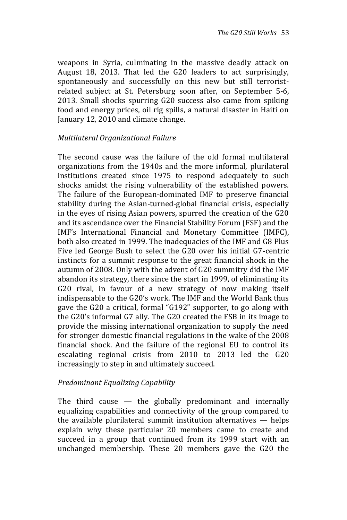weapons in Syria, culminating in the massive deadly attack on August 18, 2013. That led the G20 leaders to act surprisingly, spontaneously and successfully on this new but still terroristrelated subject at St. Petersburg soon after, on September 5-6, 2013. Small shocks spurring G20 success also came from spiking food and energy prices, oil rig spills, a natural disaster in Haiti on January 12, 2010 and climate change.

#### *Multilateral Organizational Failure*

The second cause was the failure of the old formal multilateral organizations from the 1940s and the more informal, plurilateral institutions created since 1975 to respond adequately to such shocks amidst the rising vulnerability of the established powers. The failure of the European-dominated IMF to preserve financial stability during the Asian-turned-global financial crisis, especially in the eyes of rising Asian powers, spurred the creation of the G20 and its ascendance over the Financial Stability Forum (FSF) and the IMF's International Financial and Monetary Committee (IMFC), both also created in 1999. The inadequacies of the IMF and G8 Plus Five led George Bush to select the G20 over his initial G7-centric instincts for a summit response to the great financial shock in the autumn of 2008. Only with the advent of G20 summitry did the IMF abandon its strategy, there since the start in 1999, of eliminating its G20 rival, in favour of a new strategy of now making itself indispensable to the G20's work. The IMF and the World Bank thus gave the G20 a critical, formal "G192" supporter, to go along with the G20's informal G7 ally. The G20 created the FSB in its image to provide the missing international organization to supply the need for stronger domestic financial regulations in the wake of the 2008 financial shock. And the failure of the regional EU to control its escalating regional crisis from 2010 to 2013 led the G20 increasingly to step in and ultimately succeed.

#### *Predominant Equalizing Capability*

The third cause  $-$  the globally predominant and internally equalizing capabilities and connectivity of the group compared to the available plurilateral summit institution alternatives — helps explain why these particular 20 members came to create and succeed in a group that continued from its 1999 start with an unchanged membership. These 20 members gave the G20 the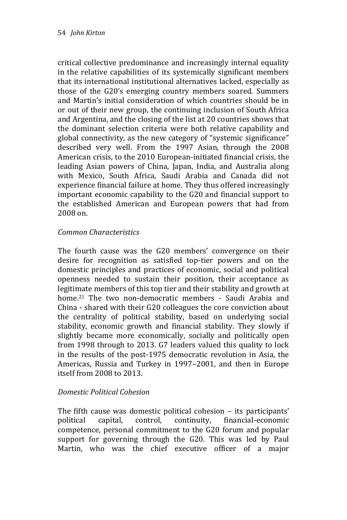critical collective predominance and increasingly internal equality in the relative capabilities of its systemically significant members that its international institutional alternatives lacked, especially as those of the G20's emerging country members soared. Summers and Martin's initial consideration of which countries should be in or out of their new group, the continuing inclusion of South Africa and Argentina, and the closing of the list at 20 countries shows that the dominant selection criteria were both relative capability and global connectivity, as the new category of "systemic significance" described very well. From the 1997 Asian, through the 2008 American crisis, to the 2010 European-initiated financial crisis, the leading Asian powers of China, Japan, India, and Australia along with Mexico, South Africa, Saudi Arabia and Canada did not experience financial failure at home. They thus offered increasingly important economic capability to the G20 and financial support to the established American and European powers that had from 2008 on.

## *Common Characteristics*

The fourth cause was the G20 members' convergence on their desire for recognition as satisfied top-tier powers and on the domestic principles and practices of economic, social and political openness needed to sustain their position, their acceptance as legitimate members of this top tier and their stability and growth at home.<sup>21</sup> The two non-democratic members - Saudi Arabia and China - shared with their G20 colleagues the core conviction about the centrality of political stability, based on underlying social stability, economic growth and financial stability. They slowly if slightly became more economically, socially and politically open from 1998 through to 2013. G7 leaders valued this quality to lock in the results of the post-1975 democratic revolution in Asia, the Americas, Russia and Turkey in 1997–2001, and then in Europe itself from 2008 to 2013.

## *Domestic Political Cohesion*

The fifth cause was domestic political cohesion – its participants' political capital, control, continuity, financial-economic competence, personal commitment to the G20 forum and popular support for governing through the G20. This was led by Paul Martin, who was the chief executive officer of a major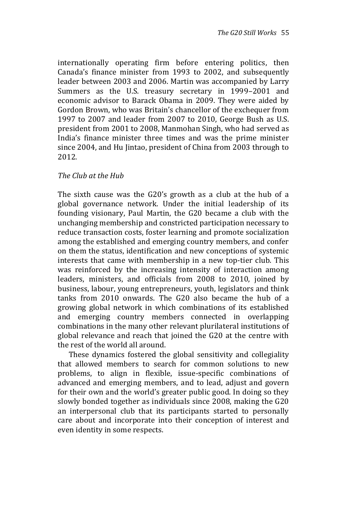internationally operating firm before entering politics, then Canada's finance minister from 1993 to 2002, and subsequently leader between 2003 and 2006. Martin was accompanied by Larry Summers as the U.S. treasury secretary in 1999–2001 and economic advisor to Barack Obama in 2009. They were aided by Gordon Brown, who was Britain's chancellor of the exchequer from 1997 to 2007 and leader from 2007 to 2010, George Bush as U.S. president from 2001 to 2008, Manmohan Singh, who had served as India's finance minister three times and was the prime minister since 2004, and Hu Jintao, president of China from 2003 through to 2012.

#### *The Club at the Hub*

The sixth cause was the G20's growth as a club at the hub of a global governance network. Under the initial leadership of its founding visionary, Paul Martin, the G20 became a club with the unchanging membership and constricted participation necessary to reduce transaction costs, foster learning and promote socialization among the established and emerging country members, and confer on them the status, identification and new conceptions of systemic interests that came with membership in a new top-tier club. This was reinforced by the increasing intensity of interaction among leaders, ministers, and officials from 2008 to 2010, joined by business, labour, young entrepreneurs, youth, legislators and think tanks from 2010 onwards. The G20 also became the hub of a growing global network in which combinations of its established and emerging country members connected in overlapping combinations in the many other relevant plurilateral institutions of global relevance and reach that joined the G20 at the centre with the rest of the world all around.

These dynamics fostered the global sensitivity and collegiality that allowed members to search for common solutions to new problems, to align in flexible, issue-specific combinations of advanced and emerging members, and to lead, adjust and govern for their own and the world's greater public good. In doing so they slowly bonded together as individuals since 2008, making the G20 an interpersonal club that its participants started to personally care about and incorporate into their conception of interest and even identity in some respects.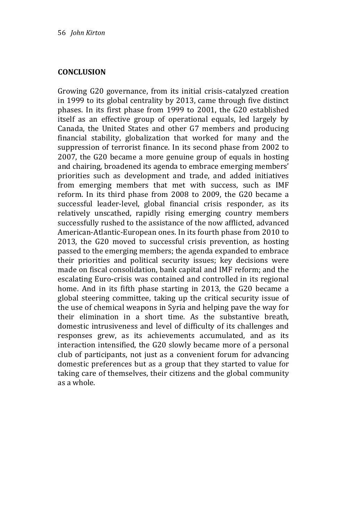#### **CONCLUSION**

Growing G20 governance, from its initial crisis-catalyzed creation in 1999 to its global centrality by 2013, came through five distinct phases. In its first phase from 1999 to 2001, the G20 established itself as an effective group of operational equals, led largely by Canada, the United States and other G7 members and producing financial stability, globalization that worked for many and the suppression of terrorist finance. In its second phase from 2002 to 2007, the G20 became a more genuine group of equals in hosting and chairing, broadened its agenda to embrace emerging members' priorities such as development and trade, and added initiatives from emerging members that met with success, such as IMF reform. In its third phase from 2008 to 2009, the G20 became a successful leader-level, global financial crisis responder, as its relatively unscathed, rapidly rising emerging country members successfully rushed to the assistance of the now afflicted, advanced American-Atlantic-European ones. In its fourth phase from 2010 to 2013, the G20 moved to successful crisis prevention, as hosting passed to the emerging members; the agenda expanded to embrace their priorities and political security issues; key decisions were made on fiscal consolidation, bank capital and IMF reform; and the escalating Euro-crisis was contained and controlled in its regional home. And in its fifth phase starting in 2013, the G20 became a global steering committee, taking up the critical security issue of the use of chemical weapons in Syria and helping pave the way for their elimination in a short time. As the substantive breath, domestic intrusiveness and level of difficulty of its challenges and responses grew, as its achievements accumulated, and as its interaction intensified, the G20 slowly became more of a personal club of participants, not just as a convenient forum for advancing domestic preferences but as a group that they started to value for taking care of themselves, their citizens and the global community as a whole.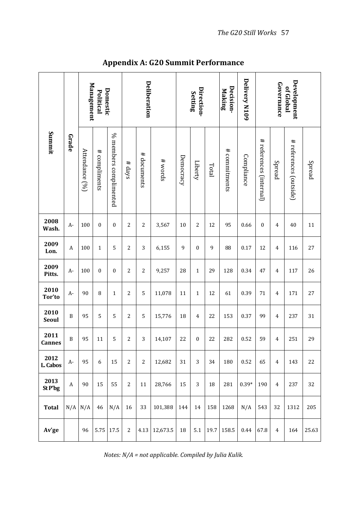| Summit           | Grade            | Management<br>Domestic<br>Political |               |                        | Deliberation   |                |          | Direction-<br>Setting |                |       | Decision-<br>Making | Delivery N109 | Development<br>Governance<br>of Global |                |                        |        |
|------------------|------------------|-------------------------------------|---------------|------------------------|----------------|----------------|----------|-----------------------|----------------|-------|---------------------|---------------|----------------------------------------|----------------|------------------------|--------|
|                  |                  | Attendance [%]                      | # compliments | % members complimented | # days         | # documents    | # words  | Democracy             | Liberty        | Total | # commitments       | Compliance    | # references (internal)                | Spread         | # references (outside) | Spread |
| 2008<br>Wash.    | A-               | 100                                 | $\mathbf{0}$  | $\mathbf{0}$           | $\overline{c}$ | $\overline{c}$ | 3,567    | 10                    | $\overline{c}$ | 12    | 95                  | 0.66          | $\mathbf{0}$                           | $\overline{4}$ | 40                     | 11     |
| 2009<br>Lon.     | A                | 100                                 | $\mathbf{1}$  | 5                      | 2              | 3              | 6,155    | 9                     | 0              | 9     | 88                  | 0.17          | 12                                     | 4              | 116                    | 27     |
| 2009<br>Pitts.   | A-               | 100                                 | $\bf{0}$      | $\bf{0}$               | 2              | $\overline{c}$ | 9,257    | 28                    | $\mathbf{1}$   | 29    | 128                 | 0.34          | 47                                     | 4              | 117                    | 26     |
| 2010<br>Tor'to   | A-               | 90                                  | 8             | $\mathbf{1}$           | $\overline{c}$ | 5              | 11,078   | 11                    | $\mathbf{1}$   | 12    | 61                  | 0.39          | 71                                     | $\overline{4}$ | 171                    | 27     |
| 2010<br>Seoul    | $\boldsymbol{B}$ | 95                                  | 5             | 5                      | 2              | 5              | 15,776   | 18                    | 4              | 22    | 153                 | 0.37          | 99                                     | 4              | 237                    | 31     |
| 2011<br>Cannes   | B                | 95                                  | 11            | 5                      | $\overline{c}$ | 3              | 14,107   | 22                    | $\mathbf{0}$   | 22    | 282                 | 0.52          | 59                                     | 4              | 251                    | 29     |
| 2012<br>L. Cabos | A-               | 95                                  | 6             | 15                     | $\overline{c}$ | $\overline{2}$ | 12,682   | 31                    | 3              | 34    | 180                 | 0.52          | 65                                     | $\overline{4}$ | 143                    | 22     |
| 2013<br>St P'bg  | A                | 90                                  | 15            | 55                     | 2              | 11             | 28,766   | 15                    | 3              | 18    | 281                 | $0.39*$       | 190                                    | 4              | 237                    | 32     |
| <b>Total</b>     | N/A              | N/A                                 | 46            | N/A                    | 16             | 33             | 101,388  | 144                   | 14             | 158   | 1268                | N/A           | 543                                    | 32             | 1312                   | 205    |
| Av'ge            |                  | 96                                  | 5.75          | 17.5                   | $\overline{c}$ | 4.13           | 12,673.5 | 18                    | 5.1            | 19.7  | 158.5               | 0.44          | 67.8                                   | $\overline{4}$ | 164                    | 25.63  |

**Appendix A: G20 Summit Performance**

*Notes: N/A = not applicable. Compiled by Julia Kulik.*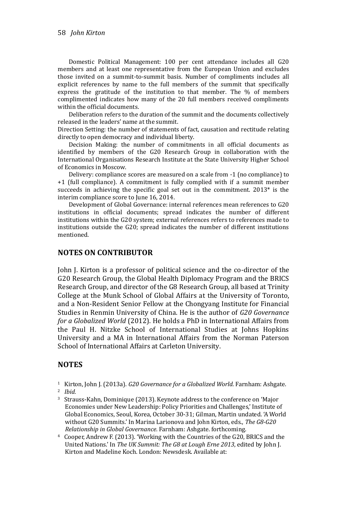Domestic Political Management: 100 per cent attendance includes all G20 members and at least one representative from the European Union and excludes those invited on a summit-to-summit basis. Number of compliments includes all explicit references by name to the full members of the summit that specifically express the gratitude of the institution to that member. The % of members complimented indicates how many of the 20 full members received compliments within the official documents.

Deliberation refers to the duration of the summit and the documents collectively released in the leaders' name at the summit.

Direction Setting: the number of statements of fact, causation and rectitude relating directly to open democracy and individual liberty.

Decision Making: the number of commitments in all official documents as identified by members of the G20 Research Group in collaboration with the International Organisations Research Institute at the State University Higher School of Economics in Moscow.

Delivery: compliance scores are measured on a scale from -1 (no compliance) to +1 (full compliance). A commitment is fully complied with if a summit member succeeds in achieving the specific goal set out in the commitment. 2013\* is the interim compliance score to June 16, 2014.

Development of Global Governance: internal references mean references to G20 institutions in official documents; spread indicates the number of different institutions within the G20 system; external references refers to references made to institutions outside the G20; spread indicates the number of different institutions mentioned.

#### **NOTES ON CONTRIBUTOR**

John J. Kirton is a professor of political science and the co-director of the G20 Research Group, the Global Health Diplomacy Program and the BRICS Research Group, and director of the G8 Research Group, all based at Trinity College at the Munk School of Global Affairs at the University of Toronto, and a Non-Resident Senior Fellow at the Chongyang Institute for Financial Studies in Renmin University of China. He is the author of *G20 Governance for a Globalized World* (2012). He holds a PhD in International Affairs from the Paul H. Nitzke School of International Studies at Johns Hopkins University and a MA in International Affairs from the Norman Paterson School of International Affairs at Carleton University.

#### **NOTES**

- <sup>1</sup> Kirton, John J. (2013a). *G20 Governance for a Globalized World*. Farnham: Ashgate.
- <sup>2</sup> *Ibid.*
- <sup>3</sup> Strauss-Kahn, Dominique (2013). Keynote address to the conference on 'Major Economies under New Leadership: Policy Priorities and Challenges,' Institute of Global Economics, Seoul, Korea, October 30-31; Gilman, Martin undated. 'A World without G20 Summits.' In Marina Larionova and John Kirton, eds., *The G8-G20 Relationship in Global Governance.* Farnham: Ashgate. forthcoming.
- <sup>4</sup> Cooper, Andrew F. (2013). 'Working with the Countries of the G20, BRICS and the United Nations.' In *The UK Summit: The G8 at Lough Erne 2013*, edited by John J. Kirton and Madeline Koch. London: Newsdesk. Available at: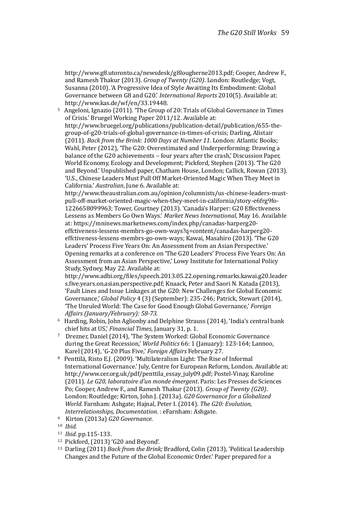http://www.g8.utoronto.ca/newsdesk/g8lougherne2013.pdf; Cooper, Andrew F., and Ramesh Thakur (2013). *Group of Twenty (G20)*. London: Routledge; Vogt, Susanna (2010). 'A Progressive Idea of Style Awaiting Its Embodiment: Global Governance between G8 and G20.' *International Reports* 2010(5). Available at: http://www.kas.de/wf/en/33.19448.

<sup>5</sup> Angeloni, Ignazio (2011). 'The Group of 20: Trials of Global Governance in Times of Crisis.' Bruegel Working Paper 2011/12. Available at: [http://www.bruegel.org/publications/publication-detail/publication/655-the](http://www.bruegel.org/publications/publication-detail/publication/655-the-group-of-g20-trials-of-global-governance-in-times-of-crisis)[group-of-g20-trials-of-global-governance-in-times-of-crisis;](http://www.bruegel.org/publications/publication-detail/publication/655-the-group-of-g20-trials-of-global-governance-in-times-of-crisis) Darling, Alistair (2011). *Back from the Brink: 1000 Days at Number 11*. London: Atlantic Books; Wahl, Peter (2012), 'The G20: Overestimated and Underperforming: Drawing a balance of the G20 achievements – four years after the crash,' Discussion Paper, World Economy, Ecology and Development; Pickford, Stephen (2013). 'The G20 and Beyond.' Unpublished paper, Chatham House, London; Callick, Rowan (2013). 'U.S., Chinese Leaders Must Pull Off Market-Oriented Magic When They Meet in California.' *Australian*, June 6. Available at:

[http://www.theaustralian.com.au/opinion/columnists/us-chinese-leaders-must](http://www.theaustralian.com.au/opinion/columnists/us-chinese-leaders-must-pull-off-market-oriented-magic-when-they-meet-in-california/story-e6frg9fo-1226658099963)[pull-off-market-oriented-magic-when-they-meet-in-california/story-e6frg9fo-](http://www.theaustralian.com.au/opinion/columnists/us-chinese-leaders-must-pull-off-market-oriented-magic-when-they-meet-in-california/story-e6frg9fo-1226658099963)[1226658099963;](http://www.theaustralian.com.au/opinion/columnists/us-chinese-leaders-must-pull-off-market-oriented-magic-when-they-meet-in-california/story-e6frg9fo-1226658099963) Tower, Courtney (2013). 'Canada's Harper: G20 Effectiveness Lessens as Members Go Own Ways.' *Market News International*, May 16. Available at[: https://mninews.marketnews.com/index.php/canadas-harperg20](https://mninews.marketnews.com/index.php/canadas-harperg20-effctiveness-lessens-membrs-go-own-ways?q=content/canadas-harperg20-effctiveness-lessens-membrs-go-own-ways) [effctiveness-lessens-membrs-go-own-ways?q=content/canadas-harperg20](https://mninews.marketnews.com/index.php/canadas-harperg20-effctiveness-lessens-membrs-go-own-ways?q=content/canadas-harperg20-effctiveness-lessens-membrs-go-own-ways) [effctiveness-lessens-membrs-go-own-ways](https://mninews.marketnews.com/index.php/canadas-harperg20-effctiveness-lessens-membrs-go-own-ways?q=content/canadas-harperg20-effctiveness-lessens-membrs-go-own-ways); Kawai, Masahiro (2013). 'The G20 Leaders' Process Five Years On: An Assessment from an Asian Perspective.' Opening remarks at a conference on 'The G20 Leaders' Process Five Years On: An Assessment from an Asian Perspective,' Lowy Institute for International Policy Study, Sydney, May 22. Available at:

[http://www.adbi.org/files/speech.2013.05.22.opening.remarks.kawai.g20.leader](http://www.adbi.org/files/speech.2013.05.22.opening.remarks.kawai.g20.leaders.five.years.on.asian.perspective.pdf) [s.five.years.on.asian.perspective.pdf;](http://www.adbi.org/files/speech.2013.05.22.opening.remarks.kawai.g20.leaders.five.years.on.asian.perspective.pdf) Knaack, Peter and Saori N. Katada (2013), 'Fault Lines and Issue Linkages at the G20: New Challenges for Global Economic Governance,' *Global Policy* 4 (3) (September): 235-246; Patrick, Stewart (2014), 'The Unruled World: The Case for Good Enough Global Governance,' *Foreign Affairs (January/February): 58-73.*

- <sup>6</sup> Harding, Robin, John Aglionby and Delphine Strauss (2014), 'India's central bank chief hits at US,' *Financial Times*, January 31, p. 1.
- <sup>7</sup> Drezner, Daniel (2014), 'The System Worked: Global Economic Governance during the Great Recession,' *World Politics* 66: 1 (January): 123-164; Lannoo, Karel (2014), 'G-20 Plus Five,' *Foreign Affairs* February 27.
- <sup>8</sup> Penttilä, Risto E.J. (2009). 'Multilateralism Light: The Rise of Informal International Governance.' July, Centre for European Reform, London. Available at: [http://www.cer.org.uk/pdf/penttila\\_essay\\_july09.pdf;](http://www.cer.org.uk/pdf/penttila_essay_july09.pdf) Postel-Vinay, Karoline (2011). *Le G20, laboratoire d'un monde émergent*. Paris: Les Presses de Sciences Po; Cooper, Andrew F., and Ramesh Thakur (2013). *Group of Twenty (G20)*. London: Routledge; Kirton, John J. (2013a). *G20 Governance for a Globalized World*. Farnham: Ashgate; Hajnal, Peter I. (2014). *The G20: Evolution, Interrelationships, Documentation*. : eFarnham: Ashgate.
- <sup>9</sup> Kirton (2013a) *G20 Governance.*

- <sup>11</sup> *Ibid.* pp.115-133.
- <sup>12</sup> Pickford, (2013) 'G20 and Beyond'.
- <sup>13</sup> Darling (2011) *Back from the Brink;* Bradford, Colin (2013), 'Political Leadership Changes and the Future of the Global Economic Order.' Paper prepared for a

<sup>10</sup> *Ibid.*